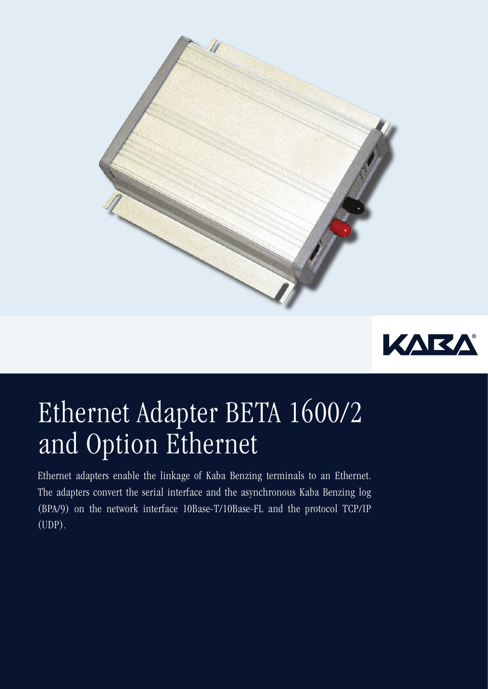



## Ethernet Adapter BETA 1600/2 and Option Ethernet

Ethernet adapters enable the linkage of Kaba Benzing terminals to an Ethernet. The adapters convert the serial interface and the asynchronous Kaba Benzing log (BPA/9) on the network interface 10Base-T/10Base-FL and the protocol TCP/IP (UDP).